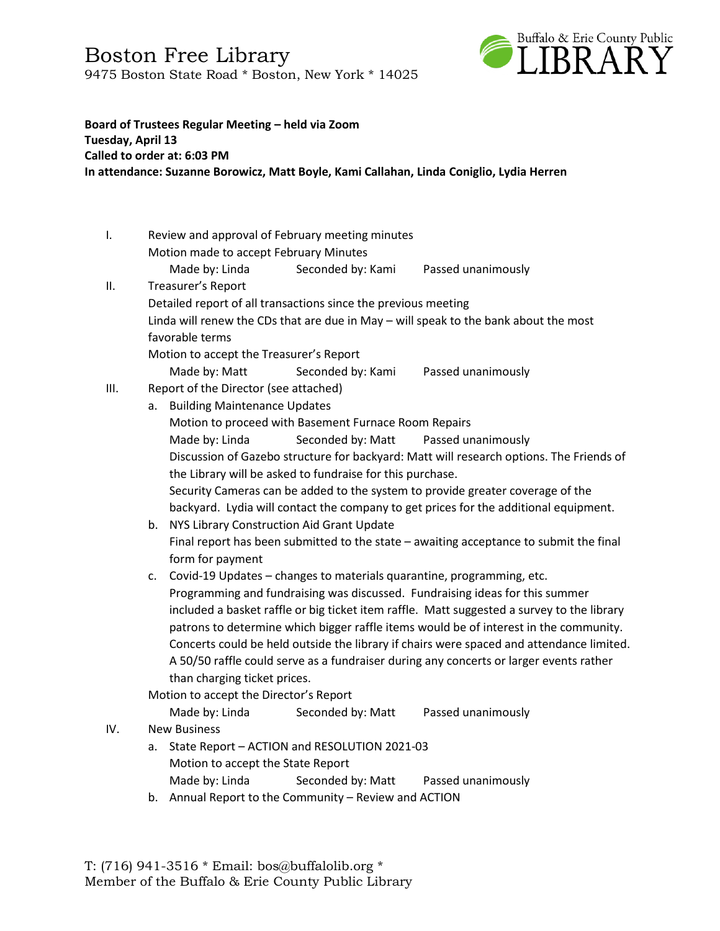Boston Free Library 9475 Boston State Road \* Boston, New York \* 14025



## **Board of Trustees Regular Meeting – held via Zoom Tuesday, April 13 Called to order at: 6:03 PM In attendance: Suzanne Borowicz, Matt Boyle, Kami Callahan, Linda Coniglio, Lydia Herren**

| I.  | Review and approval of February meeting minutes                                            |                                                                                         |                                                                                      |  |  |  |  |
|-----|--------------------------------------------------------------------------------------------|-----------------------------------------------------------------------------------------|--------------------------------------------------------------------------------------|--|--|--|--|
|     | Motion made to accept February Minutes                                                     |                                                                                         |                                                                                      |  |  |  |  |
|     | Made by: Linda                                                                             | Seconded by: Kami                                                                       | Passed unanimously                                                                   |  |  |  |  |
| ΙΙ. | Treasurer's Report                                                                         |                                                                                         |                                                                                      |  |  |  |  |
|     | Detailed report of all transactions since the previous meeting                             |                                                                                         |                                                                                      |  |  |  |  |
|     | Linda will renew the CDs that are due in May - will speak to the bank about the most       |                                                                                         |                                                                                      |  |  |  |  |
|     | favorable terms                                                                            |                                                                                         |                                                                                      |  |  |  |  |
|     | Motion to accept the Treasurer's Report                                                    |                                                                                         |                                                                                      |  |  |  |  |
|     | Made by: Matt                                                                              | Seconded by: Kami                                                                       | Passed unanimously                                                                   |  |  |  |  |
| Ш.  | Report of the Director (see attached)                                                      |                                                                                         |                                                                                      |  |  |  |  |
|     | a. Building Maintenance Updates                                                            |                                                                                         |                                                                                      |  |  |  |  |
|     | Motion to proceed with Basement Furnace Room Repairs                                       |                                                                                         |                                                                                      |  |  |  |  |
|     | Made by: Linda                                                                             | Seconded by: Matt                                                                       | Passed unanimously                                                                   |  |  |  |  |
|     |                                                                                            | Discussion of Gazebo structure for backyard: Matt will research options. The Friends of |                                                                                      |  |  |  |  |
|     | the Library will be asked to fundraise for this purchase.                                  |                                                                                         |                                                                                      |  |  |  |  |
|     |                                                                                            | Security Cameras can be added to the system to provide greater coverage of the          |                                                                                      |  |  |  |  |
|     |                                                                                            |                                                                                         | backyard. Lydia will contact the company to get prices for the additional equipment. |  |  |  |  |
|     | b.                                                                                         | NYS Library Construction Aid Grant Update                                               |                                                                                      |  |  |  |  |
|     | Final report has been submitted to the state - awaiting acceptance to submit the final     |                                                                                         |                                                                                      |  |  |  |  |
|     | form for payment                                                                           |                                                                                         |                                                                                      |  |  |  |  |
|     | c.                                                                                         | Covid-19 Updates - changes to materials quarantine, programming, etc.                   |                                                                                      |  |  |  |  |
|     |                                                                                            | Programming and fundraising was discussed. Fundraising ideas for this summer            |                                                                                      |  |  |  |  |
|     | included a basket raffle or big ticket item raffle. Matt suggested a survey to the library |                                                                                         |                                                                                      |  |  |  |  |
|     | patrons to determine which bigger raffle items would be of interest in the community.      |                                                                                         |                                                                                      |  |  |  |  |
|     | Concerts could be held outside the library if chairs were spaced and attendance limited.   |                                                                                         |                                                                                      |  |  |  |  |
|     | A 50/50 raffle could serve as a fundraiser during any concerts or larger events rather     |                                                                                         |                                                                                      |  |  |  |  |
|     | than charging ticket prices.                                                               |                                                                                         |                                                                                      |  |  |  |  |
|     | Motion to accept the Director's Report                                                     |                                                                                         |                                                                                      |  |  |  |  |
|     | Made by: Linda                                                                             | Seconded by: Matt                                                                       | Passed unanimously                                                                   |  |  |  |  |
| IV. | <b>New Business</b>                                                                        |                                                                                         |                                                                                      |  |  |  |  |
|     | State Report - ACTION and RESOLUTION 2021-03<br>a.                                         |                                                                                         |                                                                                      |  |  |  |  |
|     | Motion to accept the State Report                                                          |                                                                                         |                                                                                      |  |  |  |  |
|     | Made by: Linda                                                                             | Seconded by: Matt                                                                       | Passed unanimously                                                                   |  |  |  |  |

b. Annual Report to the Community – Review and ACTION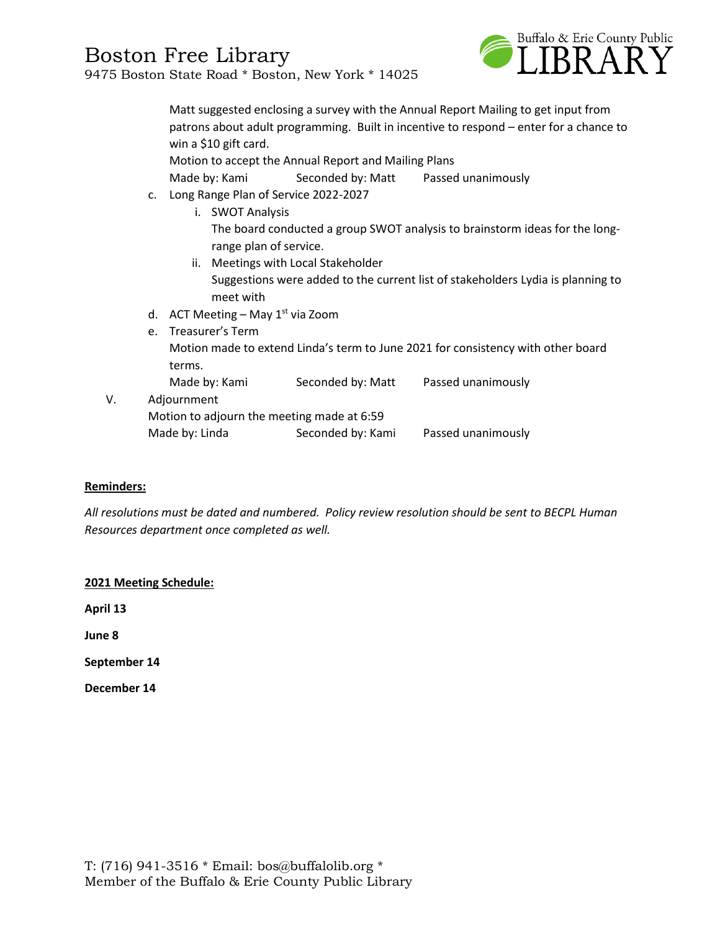

|    |                                            | Matt suggested enclosing a survey with the Annual Report Mailing to get input from<br>patrons about adult programming. Built in incentive to respond – enter for a chance to<br>win a \$10 gift card.<br>Motion to accept the Annual Report and Mailing Plans |           |                                     |                                                                                 |  |
|----|--------------------------------------------|---------------------------------------------------------------------------------------------------------------------------------------------------------------------------------------------------------------------------------------------------------------|-----------|-------------------------------------|---------------------------------------------------------------------------------|--|
|    |                                            | Made by: Kami Seconded by: Matt Passed unanimously                                                                                                                                                                                                            |           |                                     |                                                                                 |  |
|    |                                            | c. Long Range Plan of Service 2022-2027<br>i. SWOT Analysis                                                                                                                                                                                                   |           |                                     |                                                                                 |  |
|    |                                            | The board conducted a group SWOT analysis to brainstorm ideas for the long-<br>range plan of service.                                                                                                                                                         |           |                                     |                                                                                 |  |
|    |                                            |                                                                                                                                                                                                                                                               | meet with | ii. Meetings with Local Stakeholder | Suggestions were added to the current list of stakeholders Lydia is planning to |  |
|    | d. ACT Meeting – May $1^{st}$ via Zoom     |                                                                                                                                                                                                                                                               |           |                                     |                                                                                 |  |
|    |                                            | e. Treasurer's Term                                                                                                                                                                                                                                           |           |                                     |                                                                                 |  |
|    |                                            | Motion made to extend Linda's term to June 2021 for consistency with other board<br>terms.                                                                                                                                                                    |           |                                     |                                                                                 |  |
|    |                                            | Made by: Kami                                                                                                                                                                                                                                                 |           |                                     | Seconded by: Matt Passed unanimously                                            |  |
| V. | Adjournment                                |                                                                                                                                                                                                                                                               |           |                                     |                                                                                 |  |
|    | Motion to adjourn the meeting made at 6:59 |                                                                                                                                                                                                                                                               |           |                                     |                                                                                 |  |
|    | Made by: Linda                             |                                                                                                                                                                                                                                                               |           | Seconded by: Kami                   | Passed unanimously                                                              |  |

## **Reminders:**

*All resolutions must be dated and numbered. Policy review resolution should be sent to BECPL Human Resources department once completed as well.* 

## **2021 Meeting Schedule:**

**April 13**

**June 8**

**September 14**

**December 14**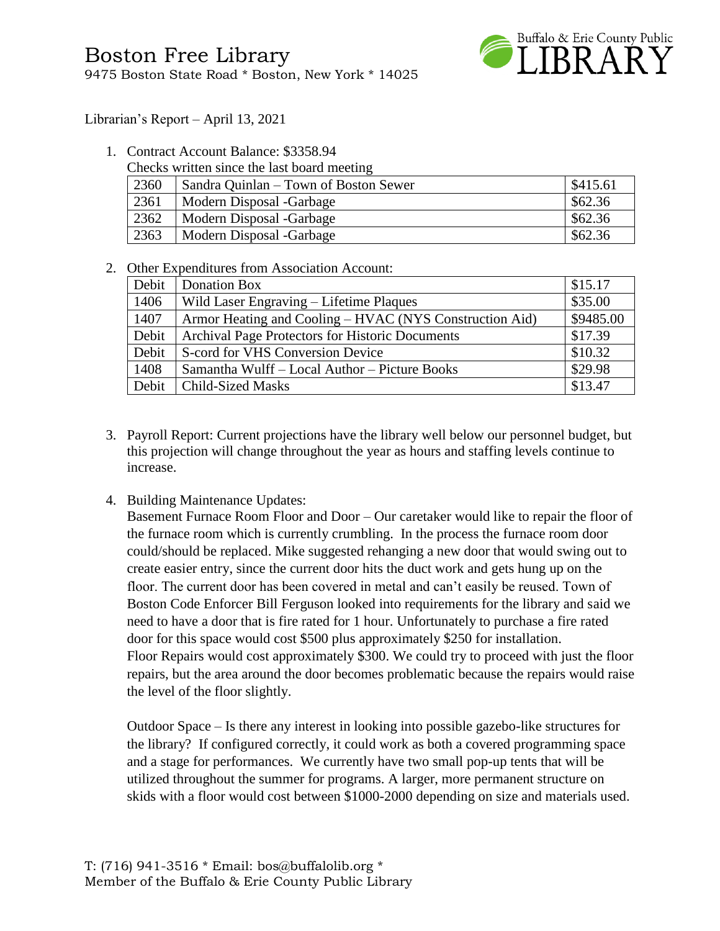

Librarian's Report – April 13, 2021

1. Contract Account Balance: \$3358.94

|      | Checks written since the last board meeting |                    |
|------|---------------------------------------------|--------------------|
| 2360 | Sandra Quinlan – Town of Boston Sewer       | $\frac{$415.61}{}$ |
| 2361 | Modern Disposal -Garbage                    | \$62.36            |
| 2362 | Modern Disposal -Garbage                    | \$62.36            |
| 2363 | Modern Disposal -Garbage                    | \$62.36            |

2. Other Expenditures from Association Account:

| Debit | Donation Box                                            | \$15.17   |
|-------|---------------------------------------------------------|-----------|
| 1406  | Wild Laser Engraving – Lifetime Plaques                 | \$35.00   |
| 1407  | Armor Heating and Cooling – HVAC (NYS Construction Aid) | \$9485.00 |
| Debit | Archival Page Protectors for Historic Documents         | \$17.39   |
| Debit | S-cord for VHS Conversion Device                        | \$10.32   |
| 1408  | Samantha Wulff - Local Author - Picture Books           | \$29.98   |
| Debit | <b>Child-Sized Masks</b>                                | \$13.47   |

- 3. Payroll Report: Current projections have the library well below our personnel budget, but this projection will change throughout the year as hours and staffing levels continue to increase.
- 4. Building Maintenance Updates:

Basement Furnace Room Floor and Door – Our caretaker would like to repair the floor of the furnace room which is currently crumbling. In the process the furnace room door could/should be replaced. Mike suggested rehanging a new door that would swing out to create easier entry, since the current door hits the duct work and gets hung up on the floor. The current door has been covered in metal and can't easily be reused. Town of Boston Code Enforcer Bill Ferguson looked into requirements for the library and said we need to have a door that is fire rated for 1 hour. Unfortunately to purchase a fire rated door for this space would cost \$500 plus approximately \$250 for installation. Floor Repairs would cost approximately \$300. We could try to proceed with just the floor repairs, but the area around the door becomes problematic because the repairs would raise the level of the floor slightly.

Outdoor Space – Is there any interest in looking into possible gazebo-like structures for the library? If configured correctly, it could work as both a covered programming space and a stage for performances. We currently have two small pop-up tents that will be utilized throughout the summer for programs. A larger, more permanent structure on skids with a floor would cost between \$1000-2000 depending on size and materials used.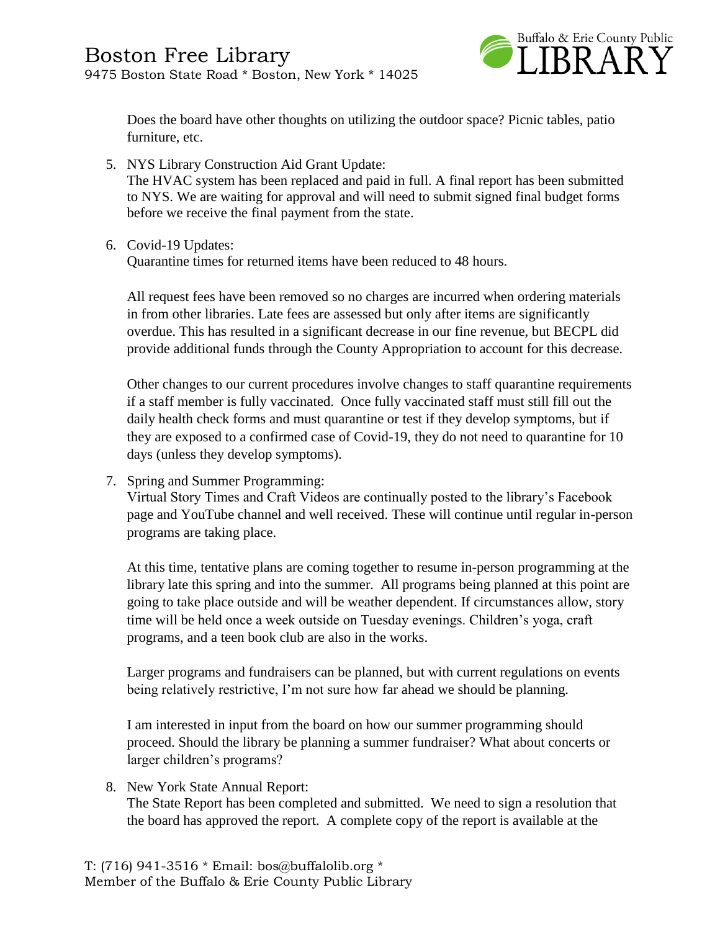

Does the board have other thoughts on utilizing the outdoor space? Picnic tables, patio furniture, etc.

- 5. NYS Library Construction Aid Grant Update: The HVAC system has been replaced and paid in full. A final report has been submitted to NYS. We are waiting for approval and will need to submit signed final budget forms before we receive the final payment from the state.
- 6. Covid-19 Updates:

Quarantine times for returned items have been reduced to 48 hours.

All request fees have been removed so no charges are incurred when ordering materials in from other libraries. Late fees are assessed but only after items are significantly overdue. This has resulted in a significant decrease in our fine revenue, but BECPL did provide additional funds through the County Appropriation to account for this decrease.

Other changes to our current procedures involve changes to staff quarantine requirements if a staff member is fully vaccinated. Once fully vaccinated staff must still fill out the daily health check forms and must quarantine or test if they develop symptoms, but if they are exposed to a confirmed case of Covid-19, they do not need to quarantine for 10 days (unless they develop symptoms).

7. Spring and Summer Programming:

Virtual Story Times and Craft Videos are continually posted to the library's Facebook page and YouTube channel and well received. These will continue until regular in-person programs are taking place.

At this time, tentative plans are coming together to resume in-person programming at the library late this spring and into the summer. All programs being planned at this point are going to take place outside and will be weather dependent. If circumstances allow, story time will be held once a week outside on Tuesday evenings. Children's yoga, craft programs, and a teen book club are also in the works.

Larger programs and fundraisers can be planned, but with current regulations on events being relatively restrictive, I'm not sure how far ahead we should be planning.

I am interested in input from the board on how our summer programming should proceed. Should the library be planning a summer fundraiser? What about concerts or larger children's programs?

8. New York State Annual Report:

The State Report has been completed and submitted. We need to sign a resolution that the board has approved the report. A complete copy of the report is available at the